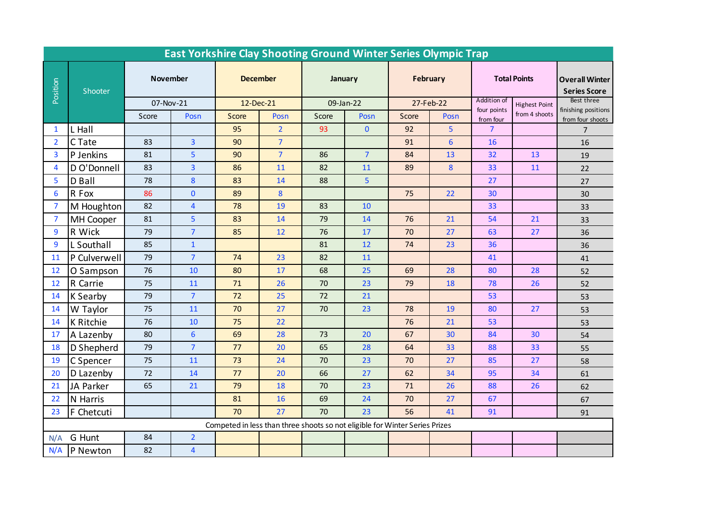| <b>East Yorkshire Clay Shooting Ground Winter Series Olympic Trap</b>       |              |                 |                         |                 |                |           |                |           |                  |                          |                      |                                              |
|-----------------------------------------------------------------------------|--------------|-----------------|-------------------------|-----------------|----------------|-----------|----------------|-----------|------------------|--------------------------|----------------------|----------------------------------------------|
| Position                                                                    | Shooter      | <b>November</b> |                         | <b>December</b> |                | January   |                | February  |                  | <b>Total Points</b>      |                      | <b>Overall Winter</b><br><b>Series Score</b> |
|                                                                             |              | 07-Nov-21       |                         | 12-Dec-21       |                | 09-Jan-22 |                | 27-Feb-22 |                  | Addition of              | <b>Highest Point</b> | Best three<br>finishing positions            |
|                                                                             |              | Score           | Posn                    | Score           | Posn           | Score     | Posn           | Score     | Posn             | four points<br>from four | from 4 shoots        | from four shoots                             |
| 1                                                                           | L Hall       |                 |                         | 95              | 2 <sup>2</sup> | 93        | $\mathbf{0}$   | 92        | 5                | $\overline{7}$           |                      | $\overline{7}$                               |
| $\overline{2}$                                                              | C Tate       | 83              | $\overline{3}$          | 90              | $\overline{7}$ |           |                | 91        | $6\phantom{1}6$  | 16                       |                      | 16                                           |
| 3                                                                           | P Jenkins    | 81              | 5                       | 90              | $\overline{7}$ | 86        | $\overline{7}$ | 84        | 13               | 32                       | 13                   | 19                                           |
| 4                                                                           | D O'Donnell  | 83              | $\overline{\mathbf{3}}$ | 86              | 11             | 82        | 11             | 89        | $\boldsymbol{8}$ | 33                       | 11                   | 22                                           |
| 5                                                                           | D Ball       | 78              | 8                       | 83              | 14             | 88        | 5              |           |                  | 27                       |                      | 27                                           |
| 6                                                                           | R Fox        | 86              | $\mathbf{0}$            | 89              | 8              |           |                | 75        | 22               | 30                       |                      | 30                                           |
| 7                                                                           | M Houghton   | 82              | $\overline{4}$          | 78              | 19             | 83        | 10             |           |                  | 33                       |                      | 33                                           |
| $\overline{7}$                                                              | MH Cooper    | 81              | 5 <sup>1</sup>          | 83              | 14             | 79        | 14             | 76        | 21               | 54                       | 21                   | 33                                           |
| 9                                                                           | R Wick       | 79              | $\overline{7}$          | 85              | 12             | 76        | 17             | 70        | 27               | 63                       | 27                   | 36                                           |
| 9                                                                           | L Southall   | 85              | $\mathbf 1$             |                 |                | 81        | 12             | 74        | 23               | 36                       |                      | 36                                           |
| 11                                                                          | P Culverwell | 79              | $\overline{7}$          | 74              | 23             | 82        | 11             |           |                  | 41                       |                      | 41                                           |
| 12                                                                          | O Sampson    | 76              | 10                      | 80              | 17             | 68        | 25             | 69        | 28               | 80                       | 28                   | 52                                           |
| 12                                                                          | R Carrie     | 75              | 11                      | 71              | 26             | 70        | 23             | 79        | 18               | 78                       | 26                   | 52                                           |
| 14                                                                          | K Searby     | 79              | $\overline{7}$          | 72              | 25             | 72        | 21             |           |                  | 53                       |                      | 53                                           |
| 14                                                                          | W Taylor     | 75              | 11                      | 70              | 27             | 70        | 23             | 78        | 19               | 80                       | 27                   | 53                                           |
| 14                                                                          | K Ritchie    | 76              | 10                      | 75              | 22             |           |                | 76        | 21               | 53                       |                      | 53                                           |
| 17                                                                          | A Lazenby    | 80              | $6\overline{6}$         | 69              | 28             | 73        | 20             | 67        | 30               | 84                       | 30                   | 54                                           |
| 18                                                                          | D Shepherd   | 79              | $\overline{7}$          | 77              | 20             | 65        | 28             | 64        | 33               | 88                       | 33                   | 55                                           |
| 19                                                                          | C Spencer    | 75              | 11                      | 73              | 24             | 70        | 23             | 70        | 27               | 85                       | 27                   | 58                                           |
| 20                                                                          | D Lazenby    | 72              | 14                      | 77              | 20             | 66        | 27             | 62        | 34               | 95                       | 34                   | 61                                           |
| 21                                                                          | JA Parker    | 65              | 21                      | 79              | 18             | 70        | 23             | 71        | 26               | 88                       | 26                   | 62                                           |
| 22                                                                          | N Harris     |                 |                         | 81              | 16             | 69        | 24             | 70        | 27               | 67                       |                      | 67                                           |
| 23                                                                          | F Chetcuti   |                 |                         | 70              | 27             | 70        | 23             | 56        | 41               | 91                       |                      | 91                                           |
| Competed in less than three shoots so not eligible for Winter Series Prizes |              |                 |                         |                 |                |           |                |           |                  |                          |                      |                                              |
| N/A                                                                         | G Hunt       | 84              | $\overline{2}$          |                 |                |           |                |           |                  |                          |                      |                                              |
| N/A                                                                         | P Newton     | 82              | $\overline{\mathbf{4}}$ |                 |                |           |                |           |                  |                          |                      |                                              |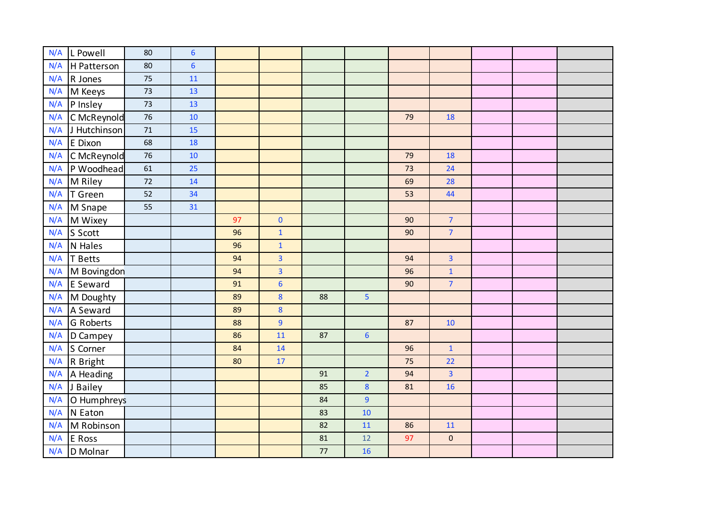| N/A | L Powell          | 80     | $6\phantom{1}$ |    |                |                |                  |    |                |  |  |
|-----|-------------------|--------|----------------|----|----------------|----------------|------------------|----|----------------|--|--|
| N/A | H Patterson       | 80     | $6\phantom{1}$ |    |                |                |                  |    |                |  |  |
| N/A | R Jones           | 75     | 11             |    |                |                |                  |    |                |  |  |
| N/A | M Keeys           | 73     | 13             |    |                |                |                  |    |                |  |  |
| N/A | P Insley          | 73     | 13             |    |                |                |                  |    |                |  |  |
| N/A | C McReynold       | 76     | 10             |    |                |                |                  | 79 | 18             |  |  |
| N/A | J Hutchinson      | 71     | 15             |    |                |                |                  |    |                |  |  |
| N/A | E Dixon           | 68     | 18             |    |                |                |                  |    |                |  |  |
| N/A | C McReynold       | 76     | 10             |    |                |                |                  | 79 | 18             |  |  |
| N/A | P Woodhead        | 61     | 25             |    |                |                |                  | 73 | 24             |  |  |
| N/A | M Riley           | $72\,$ | 14             |    |                |                |                  | 69 | 28             |  |  |
| N/A | T Green           | 52     | 34             |    |                |                |                  | 53 | 44             |  |  |
| N/A | M Snape           | 55     | 31             |    |                |                |                  |    |                |  |  |
| N/A | M Wixey           |        |                | 97 | $\mathbf 0$    |                |                  | 90 | $\overline{7}$ |  |  |
| N/A | S Scott           |        |                | 96 | $\mathbf{1}$   |                |                  | 90 | $\overline{7}$ |  |  |
| N/A | N Hales           |        |                | 96 | $\mathbf 1$    |                |                  |    |                |  |  |
| N/A | T Betts           |        |                | 94 | $\overline{3}$ |                |                  | 94 | $\overline{3}$ |  |  |
| N/A | M Bovingdon       |        |                | 94 | $\overline{3}$ |                |                  | 96 | $\mathbf 1$    |  |  |
| N/A | E Seward          |        |                | 91 | $6\phantom{a}$ |                |                  | 90 | $\overline{7}$ |  |  |
| N/A | M Doughty         |        |                | 89 | 8              | 88             | 5                |    |                |  |  |
| N/A | A Seward          |        |                | 89 | 8              |                |                  |    |                |  |  |
| N/A | G Roberts         |        |                | 88 | $\overline{9}$ |                |                  | 87 | 10             |  |  |
| N/A | D Campey          |        |                | 86 | 11             | 87             | $6\phantom{1}6$  |    |                |  |  |
| N/A | S Corner          |        |                | 84 | 14             |                |                  | 96 | $\mathbf{1}$   |  |  |
| N/A | R Bright          |        |                | 80 | 17             |                |                  | 75 | 22             |  |  |
|     | $N/A$   A Heading |        |                |    |                | 91             | $\overline{2}$   | 94 | $\overline{3}$ |  |  |
|     | N/A J Bailey      |        |                |    |                | 85             | $\boldsymbol{8}$ | 81 | 16             |  |  |
| N/A | O Humphreys       |        |                |    | 84             | $\overline{9}$ |                  |    |                |  |  |
| N/A | N Eaton           |        |                |    |                | 83             | 10               |    |                |  |  |
| N/A | M Robinson        |        |                |    |                | 82             | 11               | 86 | 11             |  |  |
| N/A | E Ross            |        |                |    |                | 81             | 12               | 97 | $\pmb{0}$      |  |  |
| N/A | D Molnar          |        |                |    |                | 77             | 16               |    |                |  |  |